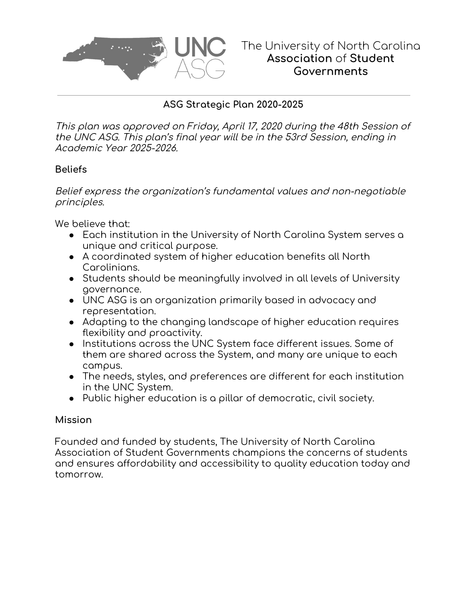

The University of North Carolina **Association** of **Student Governments**

# **ASG Strategic Plan 2020-2025**

This plan was approved on Friday, April 17, 2020 during the 48th Session of the UNC ASG. This plan's final year will be in the 53rd Session, ending in Academic Year 2025-2026.

### **Beliefs**

Belief express the organization's fundamental values and non-negotiable principles.

We believe that:

- Each institution in the University of North Carolina System serves a unique and critical purpose.
- A coordinated system of higher education benefits all North Carolinians.
- Students should be meaningfully involved in all levels of University governance.
- UNC ASG is an organization primarily based in advocacy and representation.
- Adapting to the changing landscape of higher education requires flexibility and proactivity.
- Institutions across the UNC System face different issues. Some of them are shared across the System, and many are unique to each campus.
- The needs, styles, and preferences are different for each institution in the UNC System.
- Public higher education is a pillar of democratic, civil society.

## **Mission**

Founded and funded by students, The University of North Carolina Association of Student Governments champions the concerns of students and ensures affordability and accessibility to quality education today and tomorrow.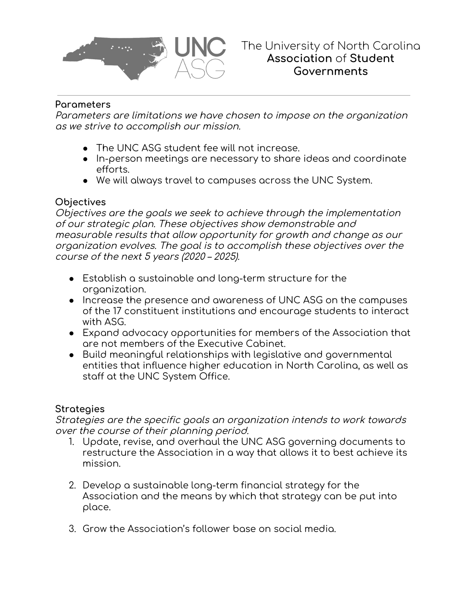

#### **Parameters**

Parameters are limitations we have chosen to impose on the organization as we strive to accomplish our mission.

- The UNC ASG student fee will not increase.
- In-person meetings are necessary to share ideas and coordinate efforts.
- We will always travel to campuses across the UNC System.

### **Objectives**

Objectives are the goals we seek to achieve through the implementation of our strategic plan. These objectives show demonstrable and measurable results that allow opportunity for growth and change as our organization evolves. The goal is to accomplish these objectives over the course of the next 5 years (2020 – 2025).

- Establish a sustainable and long-term structure for the organization.
- Increase the presence and awareness of UNC ASG on the campuses of the 17 constituent institutions and encourage students to interact with ASG.
- Expand advocacy opportunities for members of the Association that are not members of the Executive Cabinet.
- Build meaningful relationships with legislative and governmental entities that influence higher education in North Carolina, as well as staff at the UNC System Office.

### **Strategies**

Strategies are the specific goals an organization intends to work towards over the course of their planning period.

- 1. Update, revise, and overhaul the UNC ASG governing documents to restructure the Association in a way that allows it to best achieve its mission.
- 2. Develop a sustainable long-term financial strategy for the Association and the means by which that strategy can be put into place.
- 3. Grow the Association's follower base on social media.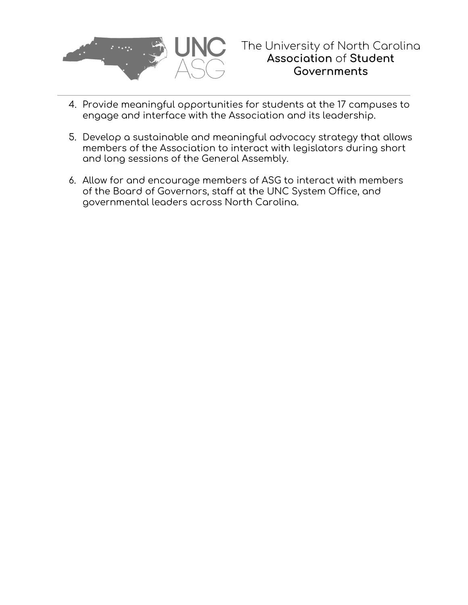

- 4. Provide meaningful opportunities for students at the 17 campuses to engage and interface with the Association and its leadership.
- 5. Develop a sustainable and meaningful advocacy strategy that allows members of the Association to interact with legislators during short and long sessions of the General Assembly.
- 6. Allow for and encourage members of ASG to interact with members of the Board of Governors, staff at the UNC System Office, and governmental leaders across North Carolina.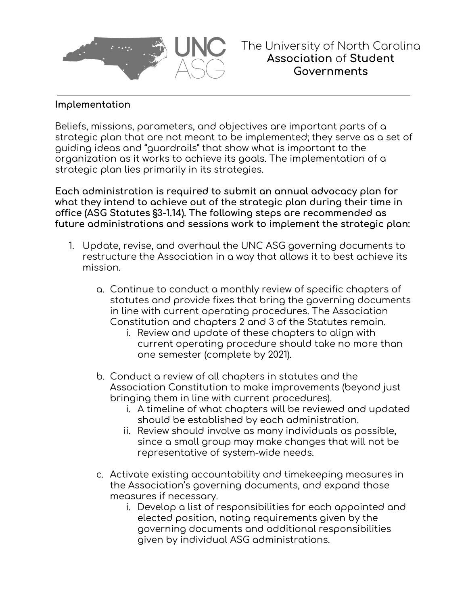

The University of North Carolina **Association** of **Student Governments**

#### **Implementation**

Beliefs, missions, parameters, and objectives are important parts of a strategic plan that are not meant to be implemented; they serve as a set of guiding ideas and "guardrails" that show what is important to the organization as it works to achieve its goals. The implementation of a strategic plan lies primarily in its strategies.

**Each administration is required to submit an annual advocacy plan for what they intend to achieve out of the strategic plan during their time in office (ASG Statutes §3-1.14). The following steps are recommended as future administrations and sessions work to implement the strategic plan:**

- 1. Update, revise, and overhaul the UNC ASG governing documents to restructure the Association in a way that allows it to best achieve its mission.
	- a. Continue to conduct a monthly review of specific chapters of statutes and provide fixes that bring the governing documents in line with current operating procedures. The Association Constitution and chapters 2 and 3 of the Statutes remain.
		- i. Review and update of these chapters to align with current operating procedure should take no more than one semester (complete by 2021).
	- b. Conduct a review of all chapters in statutes and the Association Constitution to make improvements (beyond just bringing them in line with current procedures).
		- i. A timeline of what chapters will be reviewed and updated should be established by each administration.
		- ii. Review should involve as many individuals as possible, since a small group may make changes that will not be representative of system-wide needs.
	- c. Activate existing accountability and timekeeping measures in the Association's governing documents, and expand those measures if necessary.
		- i. Develop a list of responsibilities for each appointed and elected position, noting requirements given by the governing documents and additional responsibilities given by individual ASG administrations.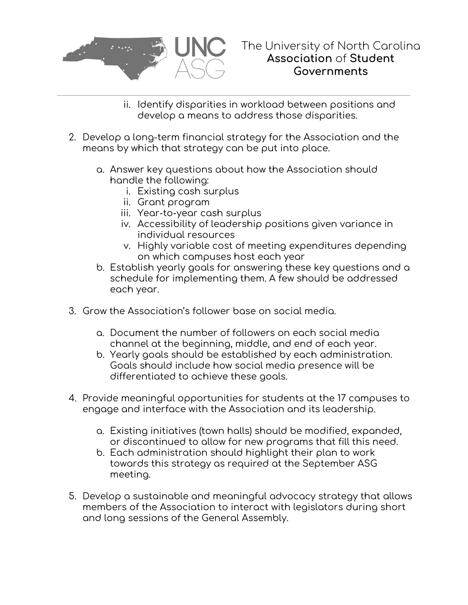

- ii. Identify disparities in workload between positions and develop a means to address those disparities.
- 2. Develop a long-term financial strategy for the Association and the means by which that strategy can be put into place.
	- a. Answer key questions about how the Association should handle the following:
		- i. Existing cash surplus
		- ii. Grant program
		- iii. Year-to-year cash surplus
		- iv. Accessibility of leadership positions given variance in individual resources
		- v. Highly variable cost of meeting expenditures depending on which campuses host each year
	- b. Establish yearly goals for answering these key questions and a schedule for implementing them. A few should be addressed each year.
- 3. Grow the Association's follower base on social media.
	- a. Document the number of followers on each social media channel at the beginning, middle, and end of each year.
	- b. Yearly goals should be established by each administration. Goals should include how social media presence will be differentiated to achieve these goals.
- 4. Provide meaningful opportunities for students at the 17 campuses to engage and interface with the Association and its leadership.
	- a. Existing initiatives (town halls) should be modified, expanded, or discontinued to allow for new programs that fill this need.
	- b. Each administration should highlight their plan to work towards this strategy as required at the September ASG meeting.
- 5. Develop a sustainable and meaningful advocacy strategy that allows members of the Association to interact with legislators during short and long sessions of the General Assembly.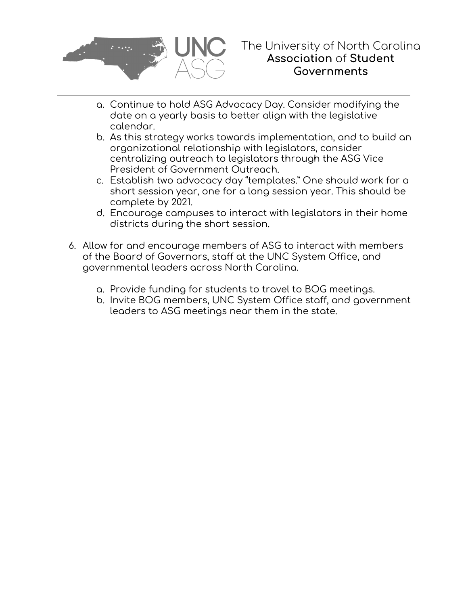

- a. Continue to hold ASG Advocacy Day. Consider modifying the date on a yearly basis to better align with the legislative calendar.
- b. As this strategy works towards implementation, and to build an organizational relationship with legislators, consider centralizing outreach to legislators through the ASG Vice President of Government Outreach.
- c. Establish two advocacy day "templates." One should work for a short session year, one for a long session year. This should be complete by 2021.
- d. Encourage campuses to interact with legislators in their home districts during the short session.
- 6. Allow for and encourage members of ASG to interact with members of the Board of Governors, staff at the UNC System Office, and governmental leaders across North Carolina.
	- a. Provide funding for students to travel to BOG meetings.
	- b. Invite BOG members, UNC System Office staff, and government leaders to ASG meetings near them in the state.